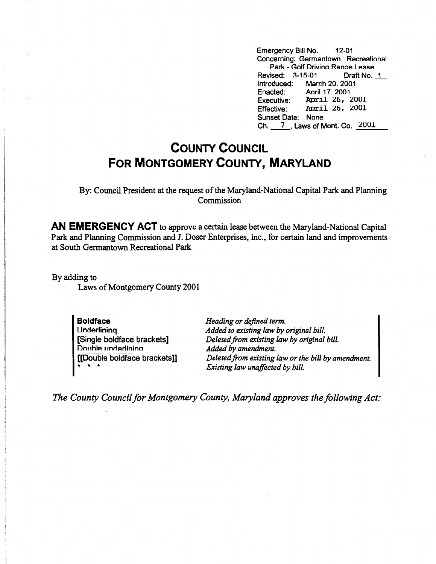Emergency Bill No. 12-01 Concerning: Germantown Recreational Park - Golf Drivina Ranae Lease Revised: 3-15-01 Draft No. 1 Introduced: March 20. 2001 Enacted: Aoril 17. 2001 Executive: April 26, 2001 Effective: April 26, 2001 Sunset Date: None Ch. 7 \_, Laws of Mont. Co.  $\sqrt{2001}$ 

## **COUNTY COUNCIL FOR MONTGOMERY COUNTY, MARYLAND**

By: Council President at the request of the Maryland-National Capital Park and Planning Commission

**AN EMERGENCY ACT** to approve a certain lease between the Maryland-National Capital Park and Planning Commission and J. Doser Enterprises, Inc., for certain land and improvements at South Germantown Recreational Park

By adding to Laws of Montgomery County 2001

> **Boldface Underlining** [Single boldface brackets] Double underlining [[Double boldface brackets]] • • •

*Heading or defined term. Added to existing law by original bill. Deleted from existing law by original bill. Added by amendment. Deleted from existing law or the bill by amendment. Existing law unaffected by bill.* 

*The County Council for Montgomery County, Maryland approves the following Act:*